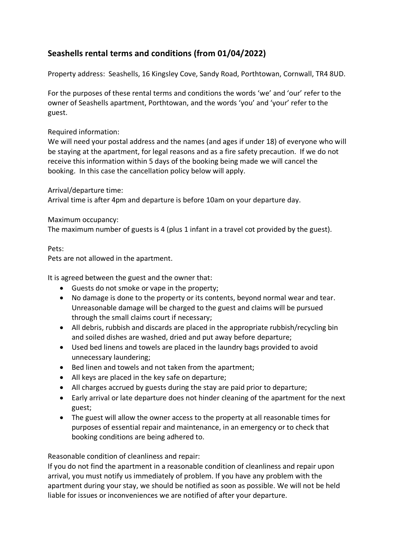# **Seashells rental terms and conditions (from 01/04/2022)**

Property address: Seashells, 16 Kingsley Cove, Sandy Road, Porthtowan, Cornwall, TR4 8UD.

For the purposes of these rental terms and conditions the words 'we' and 'our' refer to the owner of Seashells apartment, Porthtowan, and the words 'you' and 'your' refer to the guest.

## Required information:

We will need your postal address and the names (and ages if under 18) of everyone who will be staying at the apartment, for legal reasons and as a fire safety precaution. If we do not receive this information within 5 days of the booking being made we will cancel the booking. In this case the cancellation policy below will apply.

Arrival/departure time:

Arrival time is after 4pm and departure is before 10am on your departure day.

## Maximum occupancy:

The maximum number of guests is 4 (plus 1 infant in a travel cot provided by the guest).

## Pets:

Pets are not allowed in the apartment.

It is agreed between the guest and the owner that:

- Guests do not smoke or vape in the property;
- No damage is done to the property or its contents, beyond normal wear and tear. Unreasonable damage will be charged to the guest and claims will be pursued through the small claims court if necessary;
- All debris, rubbish and discards are placed in the appropriate rubbish/recycling bin and soiled dishes are washed, dried and put away before departure;
- Used bed linens and towels are placed in the laundry bags provided to avoid unnecessary laundering;
- Bed linen and towels and not taken from the apartment;
- All keys are placed in the key safe on departure;
- All charges accrued by guests during the stay are paid prior to departure;
- Early arrival or late departure does not hinder cleaning of the apartment for the next guest;
- The guest will allow the owner access to the property at all reasonable times for purposes of essential repair and maintenance, in an emergency or to check that booking conditions are being adhered to.

# Reasonable condition of cleanliness and repair:

If you do not find the apartment in a reasonable condition of cleanliness and repair upon arrival, you must notify us immediately of problem. If you have any problem with the apartment during your stay, we should be notified as soon as possible. We will not be held liable for issues or inconveniences we are notified of after your departure.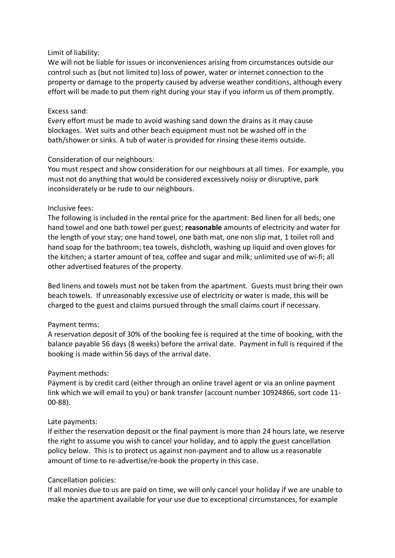#### Limit of liability:

We will not be liable for issues or inconveniences arising from circumstances outside our control such as (but not limited to) loss of power, water or internet connection to the property or damage to the property caused by adverse weather conditions, although every effort will be made to put them right during your stay if you inform us of them promptly.

#### Excess sand:

Every effort must be made to avoid washing sand down the drains as it may cause blockages. Wet suits and other beach equipment must not be washed off in the bath/shower or sinks. A tub of water is provided for rinsing these items outside.

#### Consideration of our neighbours:

You must respect and show consideration for our neighbours at all times. For example, you must not do anything that would be considered excessively noisy or disruptive, park inconsiderately or be rude to our neighbours.

#### Inclusive fees:

The following is included in the rental price for the apartment: Bed linen for all beds; one hand towel and one bath towel per guest; **reasonable** amounts of electricity and water for the length of your stay; one hand towel, one bath mat, one non slip mat, 1 toilet roll and hand soap for the bathroom; tea towels, dishcloth, washing up liquid and oven gloves for the kitchen; a starter amount of tea, coffee and sugar and milk; unlimited use of wi-fi; all other advertised features of the property.

Bed linens and towels must not be taken from the apartment. Guests must bring their own beach towels. If unreasonably excessive use of electricity or water is made, this will be charged to the guest and claims pursued through the small claims court if necessary.

## Payment terms:

A reservation deposit of 30% of the booking fee is required at the time of booking, with the balance payable 56 days (8 weeks) before the arrival date. Payment in full is required if the booking is made within 56 days of the arrival date.

## Payment methods:

Payment is by credit card (either through an online travel agent or via an online payment link which we will email to you) or bank transfer (account number 10924866, sort code 11- 00-88).

#### Late payments:

If either the reservation deposit or the final payment is more than 24 hours late, we reserve the right to assume you wish to cancel your holiday, and to apply the guest cancellation policy below. This is to protect us against non-payment and to allow us a reasonable amount of time to re-advertise/re-book the property in this case.

#### Cancellation policies:

If all monies due to us are paid on time, we will only cancel your holiday if we are unable to make the apartment available for your use due to exceptional circumstances, for example